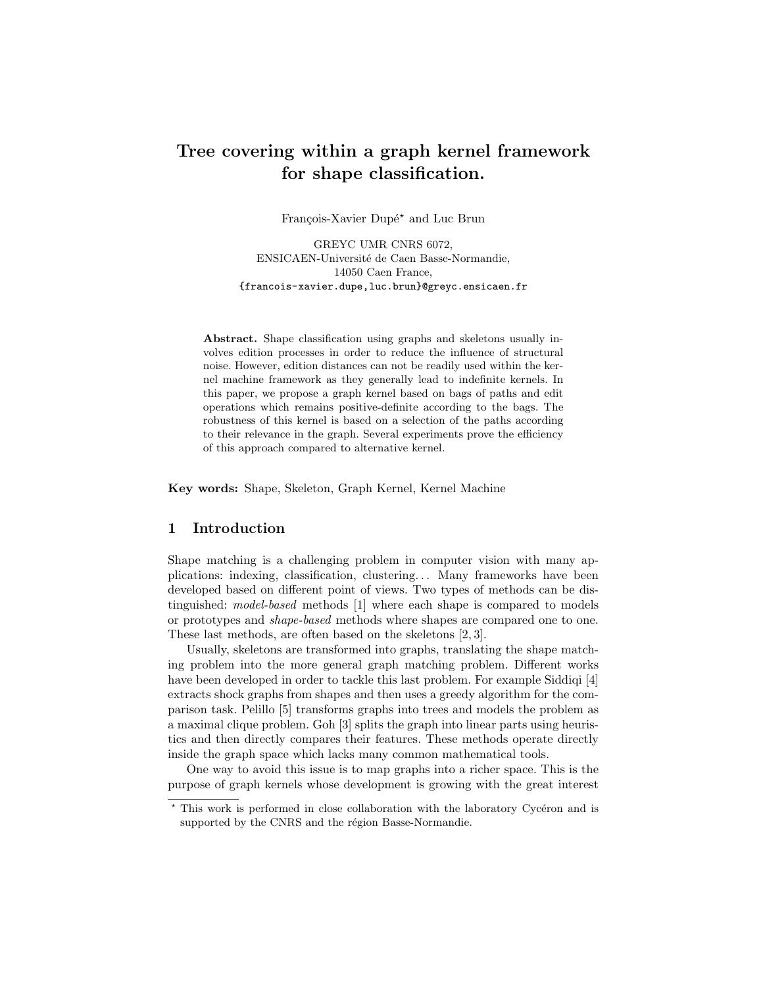# Tree covering within a graph kernel framework for shape classification.

François-Xavier Dupé\* and Luc Brun

GREYC UMR CNRS 6072, ENSICAEN-Universit´e de Caen Basse-Normandie, 14050 Caen France, {francois-xavier.dupe,luc.brun}@greyc.ensicaen.fr

Abstract. Shape classification using graphs and skeletons usually involves edition processes in order to reduce the influence of structural noise. However, edition distances can not be readily used within the kernel machine framework as they generally lead to indefinite kernels. In this paper, we propose a graph kernel based on bags of paths and edit operations which remains positive-definite according to the bags. The robustness of this kernel is based on a selection of the paths according to their relevance in the graph. Several experiments prove the efficiency of this approach compared to alternative kernel.

Key words: Shape, Skeleton, Graph Kernel, Kernel Machine

# 1 Introduction

Shape matching is a challenging problem in computer vision with many applications: indexing, classification, clustering. . . Many frameworks have been developed based on different point of views. Two types of methods can be distinguished: model-based methods [1] where each shape is compared to models or prototypes and shape-based methods where shapes are compared one to one. These last methods, are often based on the skeletons [2, 3].

Usually, skeletons are transformed into graphs, translating the shape matching problem into the more general graph matching problem. Different works have been developed in order to tackle this last problem. For example Siddiqi [4] extracts shock graphs from shapes and then uses a greedy algorithm for the comparison task. Pelillo [5] transforms graphs into trees and models the problem as a maximal clique problem. Goh [3] splits the graph into linear parts using heuristics and then directly compares their features. These methods operate directly inside the graph space which lacks many common mathematical tools.

One way to avoid this issue is to map graphs into a richer space. This is the purpose of graph kernels whose development is growing with the great interest

 $*$  This work is performed in close collaboration with the laboratory Cycéron and is supported by the CNRS and the région Basse-Normandie.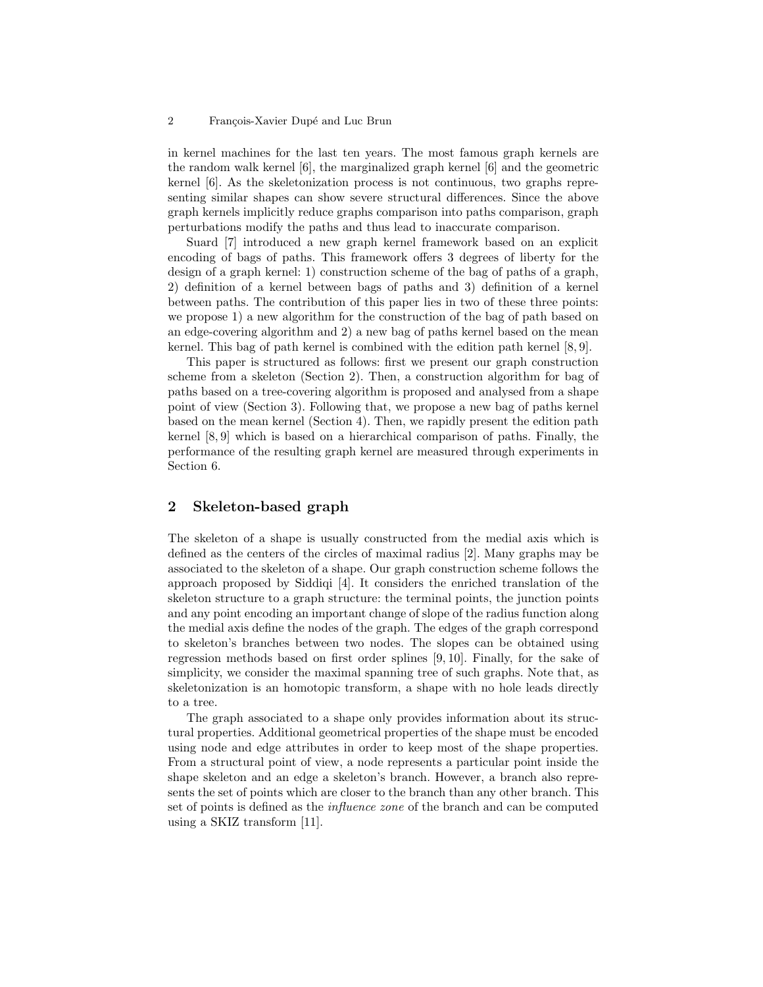#### 2 François-Xavier Dupé and Luc Brun

in kernel machines for the last ten years. The most famous graph kernels are the random walk kernel [6], the marginalized graph kernel [6] and the geometric kernel [6]. As the skeletonization process is not continuous, two graphs representing similar shapes can show severe structural differences. Since the above graph kernels implicitly reduce graphs comparison into paths comparison, graph perturbations modify the paths and thus lead to inaccurate comparison.

Suard [7] introduced a new graph kernel framework based on an explicit encoding of bags of paths. This framework offers 3 degrees of liberty for the design of a graph kernel: 1) construction scheme of the bag of paths of a graph, 2) definition of a kernel between bags of paths and 3) definition of a kernel between paths. The contribution of this paper lies in two of these three points: we propose 1) a new algorithm for the construction of the bag of path based on an edge-covering algorithm and 2) a new bag of paths kernel based on the mean kernel. This bag of path kernel is combined with the edition path kernel [8, 9].

This paper is structured as follows: first we present our graph construction scheme from a skeleton (Section 2). Then, a construction algorithm for bag of paths based on a tree-covering algorithm is proposed and analysed from a shape point of view (Section 3). Following that, we propose a new bag of paths kernel based on the mean kernel (Section 4). Then, we rapidly present the edition path kernel [8, 9] which is based on a hierarchical comparison of paths. Finally, the performance of the resulting graph kernel are measured through experiments in Section 6.

# 2 Skeleton-based graph

The skeleton of a shape is usually constructed from the medial axis which is defined as the centers of the circles of maximal radius [2]. Many graphs may be associated to the skeleton of a shape. Our graph construction scheme follows the approach proposed by Siddiqi [4]. It considers the enriched translation of the skeleton structure to a graph structure: the terminal points, the junction points and any point encoding an important change of slope of the radius function along the medial axis define the nodes of the graph. The edges of the graph correspond to skeleton's branches between two nodes. The slopes can be obtained using regression methods based on first order splines [9, 10]. Finally, for the sake of simplicity, we consider the maximal spanning tree of such graphs. Note that, as skeletonization is an homotopic transform, a shape with no hole leads directly to a tree.

The graph associated to a shape only provides information about its structural properties. Additional geometrical properties of the shape must be encoded using node and edge attributes in order to keep most of the shape properties. From a structural point of view, a node represents a particular point inside the shape skeleton and an edge a skeleton's branch. However, a branch also represents the set of points which are closer to the branch than any other branch. This set of points is defined as the influence zone of the branch and can be computed using a SKIZ transform [11].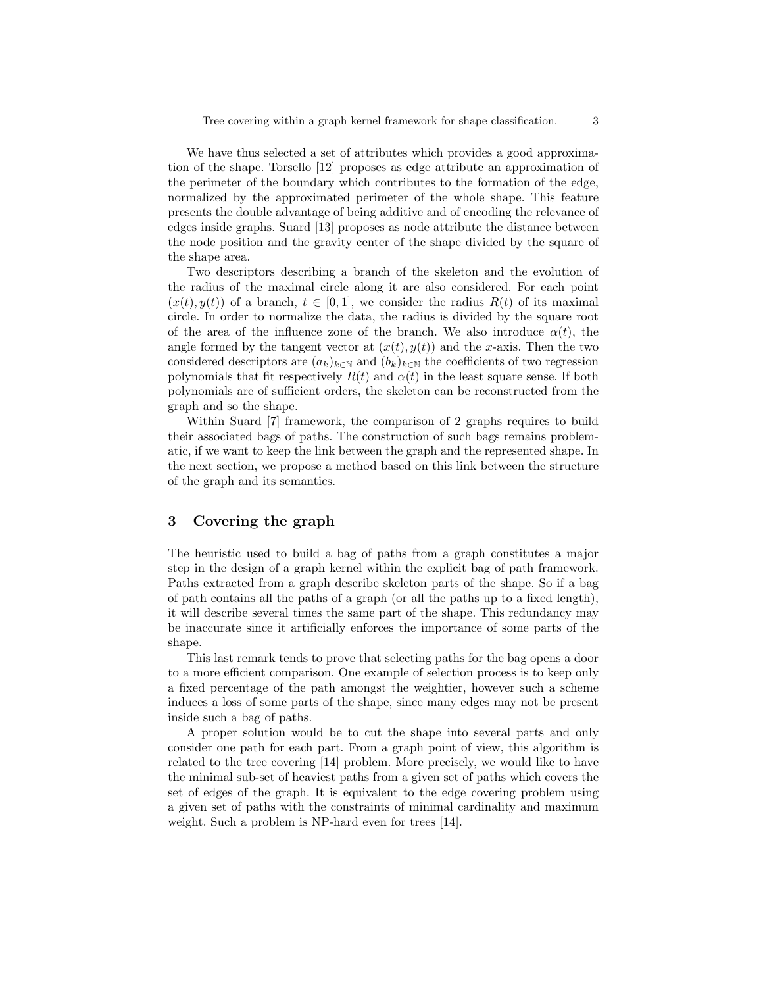We have thus selected a set of attributes which provides a good approximation of the shape. Torsello [12] proposes as edge attribute an approximation of the perimeter of the boundary which contributes to the formation of the edge, normalized by the approximated perimeter of the whole shape. This feature presents the double advantage of being additive and of encoding the relevance of edges inside graphs. Suard [13] proposes as node attribute the distance between the node position and the gravity center of the shape divided by the square of the shape area.

Two descriptors describing a branch of the skeleton and the evolution of the radius of the maximal circle along it are also considered. For each point  $(x(t), y(t))$  of a branch,  $t \in [0, 1]$ , we consider the radius  $R(t)$  of its maximal circle. In order to normalize the data, the radius is divided by the square root of the area of the influence zone of the branch. We also introduce  $\alpha(t)$ , the angle formed by the tangent vector at  $(x(t), y(t))$  and the x-axis. Then the two considered descriptors are  $(a_k)_{k\in\mathbb{N}}$  and  $(b_k)_{k\in\mathbb{N}}$  the coefficients of two regression polynomials that fit respectively  $R(t)$  and  $\alpha(t)$  in the least square sense. If both polynomials are of sufficient orders, the skeleton can be reconstructed from the graph and so the shape.

Within Suard [7] framework, the comparison of 2 graphs requires to build their associated bags of paths. The construction of such bags remains problematic, if we want to keep the link between the graph and the represented shape. In the next section, we propose a method based on this link between the structure of the graph and its semantics.

# 3 Covering the graph

The heuristic used to build a bag of paths from a graph constitutes a major step in the design of a graph kernel within the explicit bag of path framework. Paths extracted from a graph describe skeleton parts of the shape. So if a bag of path contains all the paths of a graph (or all the paths up to a fixed length), it will describe several times the same part of the shape. This redundancy may be inaccurate since it artificially enforces the importance of some parts of the shape.

This last remark tends to prove that selecting paths for the bag opens a door to a more efficient comparison. One example of selection process is to keep only a fixed percentage of the path amongst the weightier, however such a scheme induces a loss of some parts of the shape, since many edges may not be present inside such a bag of paths.

A proper solution would be to cut the shape into several parts and only consider one path for each part. From a graph point of view, this algorithm is related to the tree covering [14] problem. More precisely, we would like to have the minimal sub-set of heaviest paths from a given set of paths which covers the set of edges of the graph. It is equivalent to the edge covering problem using a given set of paths with the constraints of minimal cardinality and maximum weight. Such a problem is NP-hard even for trees [14].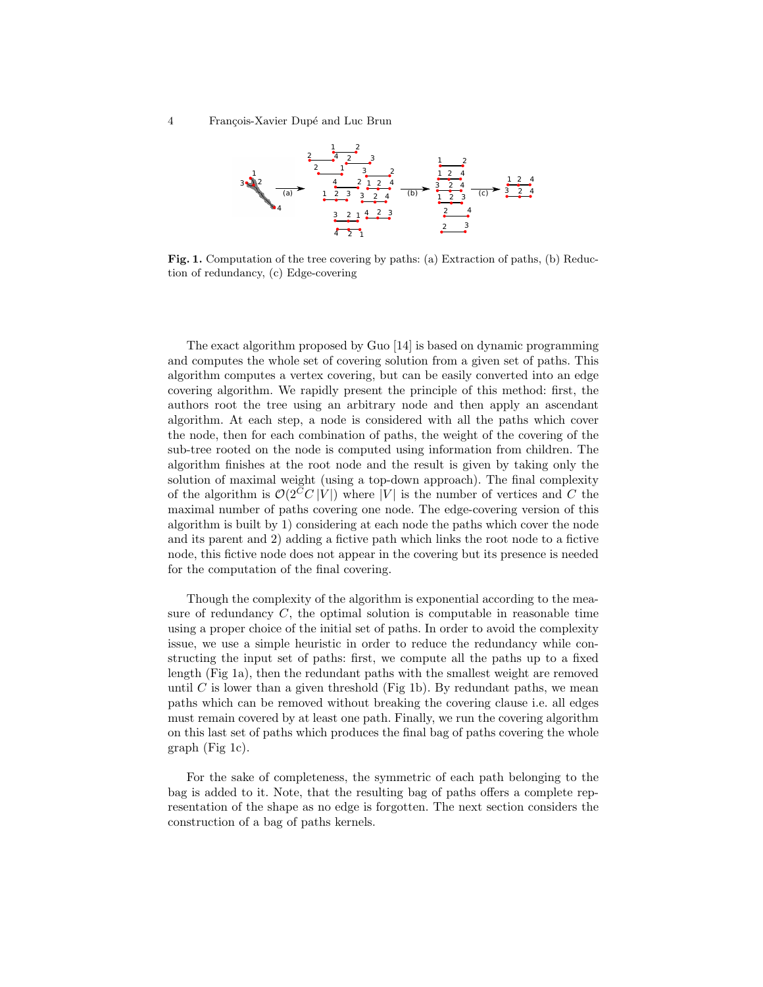4 François-Xavier Dupé and Luc Brun



Fig. 1. Computation of the tree covering by paths: (a) Extraction of paths, (b) Reduction of redundancy, (c) Edge-covering

The exact algorithm proposed by Guo [14] is based on dynamic programming and computes the whole set of covering solution from a given set of paths. This algorithm computes a vertex covering, but can be easily converted into an edge covering algorithm. We rapidly present the principle of this method: first, the authors root the tree using an arbitrary node and then apply an ascendant algorithm. At each step, a node is considered with all the paths which cover the node, then for each combination of paths, the weight of the covering of the sub-tree rooted on the node is computed using information from children. The algorithm finishes at the root node and the result is given by taking only the solution of maximal weight (using a top-down approach). The final complexity of the algorithm is  $\mathcal{O}(2^C C |V|)$  where |V| is the number of vertices and C the maximal number of paths covering one node. The edge-covering version of this algorithm is built by 1) considering at each node the paths which cover the node and its parent and 2) adding a fictive path which links the root node to a fictive node, this fictive node does not appear in the covering but its presence is needed for the computation of the final covering.

Though the complexity of the algorithm is exponential according to the measure of redundancy  $C$ , the optimal solution is computable in reasonable time using a proper choice of the initial set of paths. In order to avoid the complexity issue, we use a simple heuristic in order to reduce the redundancy while constructing the input set of paths: first, we compute all the paths up to a fixed length (Fig 1a), then the redundant paths with the smallest weight are removed until C is lower than a given threshold (Fig 1b). By redundant paths, we mean paths which can be removed without breaking the covering clause i.e. all edges must remain covered by at least one path. Finally, we run the covering algorithm on this last set of paths which produces the final bag of paths covering the whole graph (Fig 1c).

For the sake of completeness, the symmetric of each path belonging to the bag is added to it. Note, that the resulting bag of paths offers a complete representation of the shape as no edge is forgotten. The next section considers the construction of a bag of paths kernels.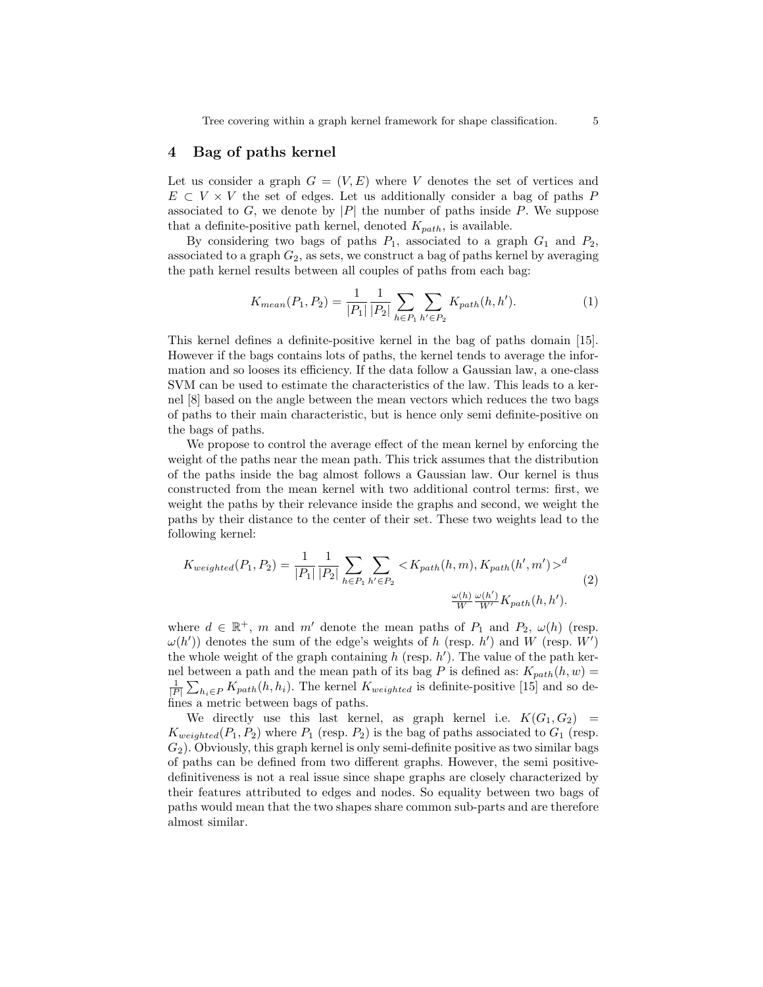Tree covering within a graph kernel framework for shape classification. 5

### 4 Bag of paths kernel

Let us consider a graph  $G = (V, E)$  where V denotes the set of vertices and  $E \subset V \times V$  the set of edges. Let us additionally consider a bag of paths P associated to  $G$ , we denote by  $|P|$  the number of paths inside  $P$ . We suppose that a definite-positive path kernel, denoted  $K_{path}$ , is available.

By considering two bags of paths  $P_1$ , associated to a graph  $G_1$  and  $P_2$ , associated to a graph  $G_2$ , as sets, we construct a bag of paths kernel by averaging the path kernel results between all couples of paths from each bag:

$$
K_{mean}(P_1, P_2) = \frac{1}{|P_1|} \frac{1}{|P_2|} \sum_{h \in P_1} \sum_{h' \in P_2} K_{path}(h, h').
$$
 (1)

This kernel defines a definite-positive kernel in the bag of paths domain [15]. However if the bags contains lots of paths, the kernel tends to average the information and so looses its efficiency. If the data follow a Gaussian law, a one-class SVM can be used to estimate the characteristics of the law. This leads to a kernel [8] based on the angle between the mean vectors which reduces the two bags of paths to their main characteristic, but is hence only semi definite-positive on the bags of paths.

We propose to control the average effect of the mean kernel by enforcing the weight of the paths near the mean path. This trick assumes that the distribution of the paths inside the bag almost follows a Gaussian law. Our kernel is thus constructed from the mean kernel with two additional control terms: first, we weight the paths by their relevance inside the graphs and second, we weight the paths by their distance to the center of their set. These two weights lead to the following kernel:

$$
K_{weighted}(P_1, P_2) = \frac{1}{|P_1|} \frac{1}{|P_2|} \sum_{h \in P_1} \sum_{h' \in P_2} \langle K_{path}(h, m), K_{path}(h', m') \rangle^d
$$
  

$$
\frac{\omega(h)}{W} \frac{\omega(h')}{W'} K_{path}(h, h').
$$
 (2)

where  $d \in \mathbb{R}^+$ , m and m' denote the mean paths of  $P_1$  and  $P_2$ ,  $\omega(h)$  (resp.  $\omega(h')$  denotes the sum of the edge's weights of h (resp. h') and W (resp. W') the whole weight of the graph containing  $h$  (resp.  $h'$ ). The value of the path kernel between a path and the mean path of its bag P is defined as:  $K_{path}(h, w) =$  $\frac{1}{|P|} \sum_{h_i \in P} K_{path}(h, h_i)$ . The kernel  $K_{weighted}$  is definite-positive [15] and so defines a metric between bags of paths.

We directly use this last kernel, as graph kernel i.e.  $K(G_1, G_2)$  =  $K_{weighted}(P_1, P_2)$  where  $P_1$  (resp.  $P_2$ ) is the bag of paths associated to  $G_1$  (resp.  $G<sub>2</sub>$ ). Obviously, this graph kernel is only semi-definite positive as two similar bags of paths can be defined from two different graphs. However, the semi positivedefinitiveness is not a real issue since shape graphs are closely characterized by their features attributed to edges and nodes. So equality between two bags of paths would mean that the two shapes share common sub-parts and are therefore almost similar.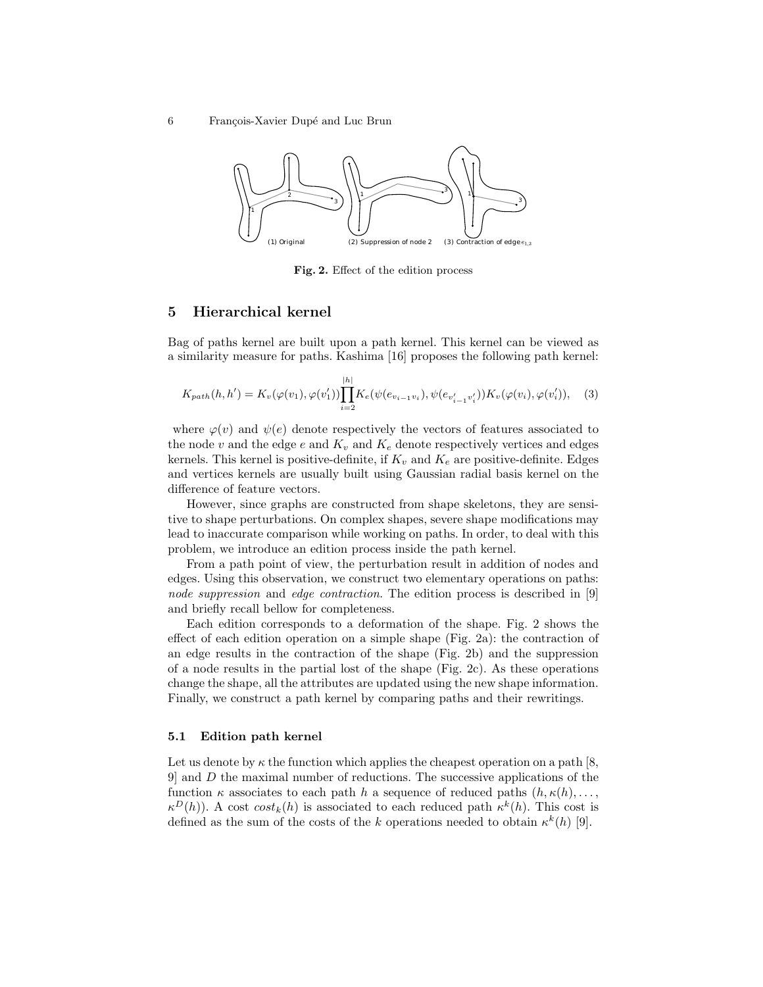6 François-Xavier Dupé and Luc Brun



Fig. 2. Effect of the edition process

# 5 Hierarchical kernel

Bag of paths kernel are built upon a path kernel. This kernel can be viewed as a similarity measure for paths. Kashima [16] proposes the following path kernel:

$$
K_{path}(h, h') = K_v(\varphi(v_1), \varphi(v'_1)) \prod_{i=2}^{|h|} K_e(\psi(e_{v_{i-1}v_i}), \psi(e_{v'_{i-1}v'_i})) K_v(\varphi(v_i), \varphi(v'_i)), \quad (3)
$$

where  $\varphi(v)$  and  $\psi(e)$  denote respectively the vectors of features associated to the node v and the edge  $e$  and  $K_v$  and  $K_e$  denote respectively vertices and edges kernels. This kernel is positive-definite, if  $K_v$  and  $K_e$  are positive-definite. Edges and vertices kernels are usually built using Gaussian radial basis kernel on the difference of feature vectors.

However, since graphs are constructed from shape skeletons, they are sensitive to shape perturbations. On complex shapes, severe shape modifications may lead to inaccurate comparison while working on paths. In order, to deal with this problem, we introduce an edition process inside the path kernel.

From a path point of view, the perturbation result in addition of nodes and edges. Using this observation, we construct two elementary operations on paths: node suppression and edge contraction. The edition process is described in [9] and briefly recall bellow for completeness.

Each edition corresponds to a deformation of the shape. Fig. 2 shows the effect of each edition operation on a simple shape (Fig. 2a): the contraction of an edge results in the contraction of the shape (Fig. 2b) and the suppression of a node results in the partial lost of the shape (Fig. 2c). As these operations change the shape, all the attributes are updated using the new shape information. Finally, we construct a path kernel by comparing paths and their rewritings.

#### 5.1 Edition path kernel

Let us denote by  $\kappa$  the function which applies the cheapest operation on a path [8, 9] and D the maximal number of reductions. The successive applications of the function  $\kappa$  associates to each path h a sequence of reduced paths  $(h, \kappa(h), \ldots,$  $\kappa^{D}(h)$ ). A cost  $cost_{k}(h)$  is associated to each reduced path  $\kappa^{k}(h)$ . This cost is defined as the sum of the costs of the k operations needed to obtain  $\kappa^k(h)$  [9].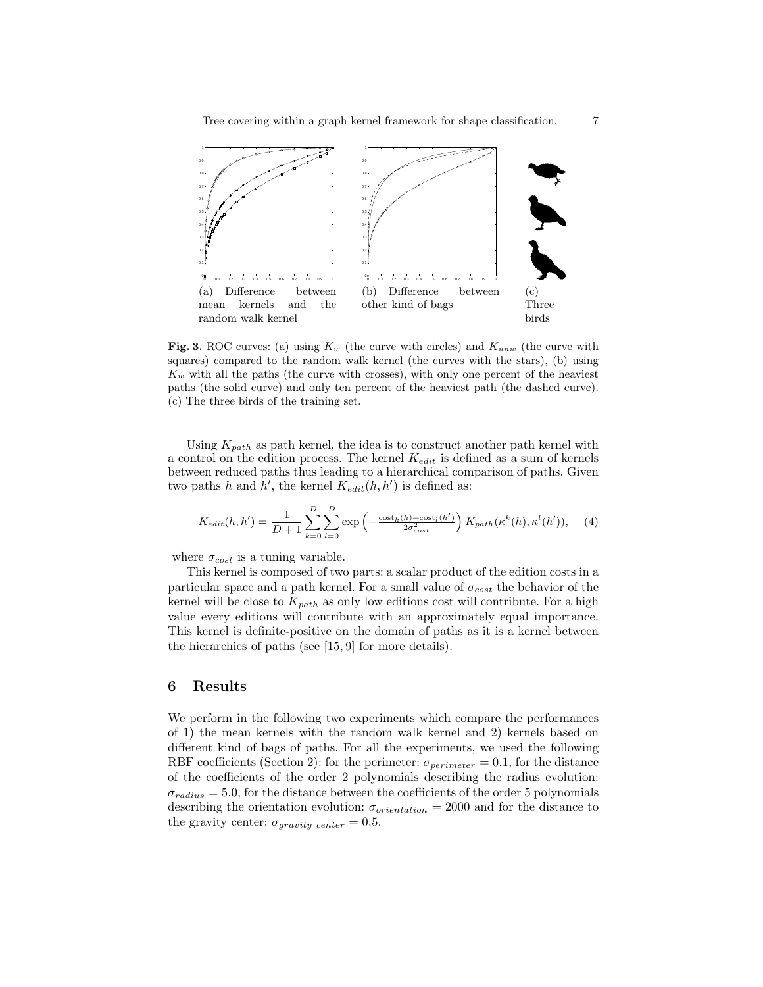

Fig. 3. ROC curves: (a) using  $K_w$  (the curve with circles) and  $K_{uvw}$  (the curve with squares) compared to the random walk kernel (the curves with the stars), (b) using  $K_w$  with all the paths (the curve with crosses), with only one percent of the heaviest paths (the solid curve) and only ten percent of the heaviest path (the dashed curve). (c) The three birds of the training set.

Using  $K_{path}$  as path kernel, the idea is to construct another path kernel with a control on the edition process. The kernel  $K_{edit}$  is defined as a sum of kernels between reduced paths thus leading to a hierarchical comparison of paths. Given two paths h and  $h'$ , the kernel  $K_{edit}(h, h')$  is defined as:

$$
K_{edit}(h, h') = \frac{1}{D+1} \sum_{k=0}^{D} \sum_{l=0}^{D} \exp\left(-\frac{\cosh_k(h) + \cosh_l(h')}{2\sigma_{cost}^2}\right) K_{path}(\kappa^k(h), \kappa^l(h')), \tag{4}
$$

where  $\sigma_{cost}$  is a tuning variable.

This kernel is composed of two parts: a scalar product of the edition costs in a particular space and a path kernel. For a small value of  $\sigma_{cost}$  the behavior of the kernel will be close to  $K_{path}$  as only low editions cost will contribute. For a high value every editions will contribute with an approximately equal importance. This kernel is definite-positive on the domain of paths as it is a kernel between the hierarchies of paths (see [15, 9] for more details).

### 6 Results

We perform in the following two experiments which compare the performances of 1) the mean kernels with the random walk kernel and 2) kernels based on different kind of bags of paths. For all the experiments, we used the following RBF coefficients (Section 2): for the perimeter:  $\sigma_{perimeter} = 0.1$ , for the distance of the coefficients of the order 2 polynomials describing the radius evolution:  $\sigma_{radius} = 5.0$ , for the distance between the coefficients of the order 5 polynomials describing the orientation evolution:  $\sigma_{orientation} = 2000$  and for the distance to the gravity center:  $\sigma_{gravity \ center} = 0.5$ .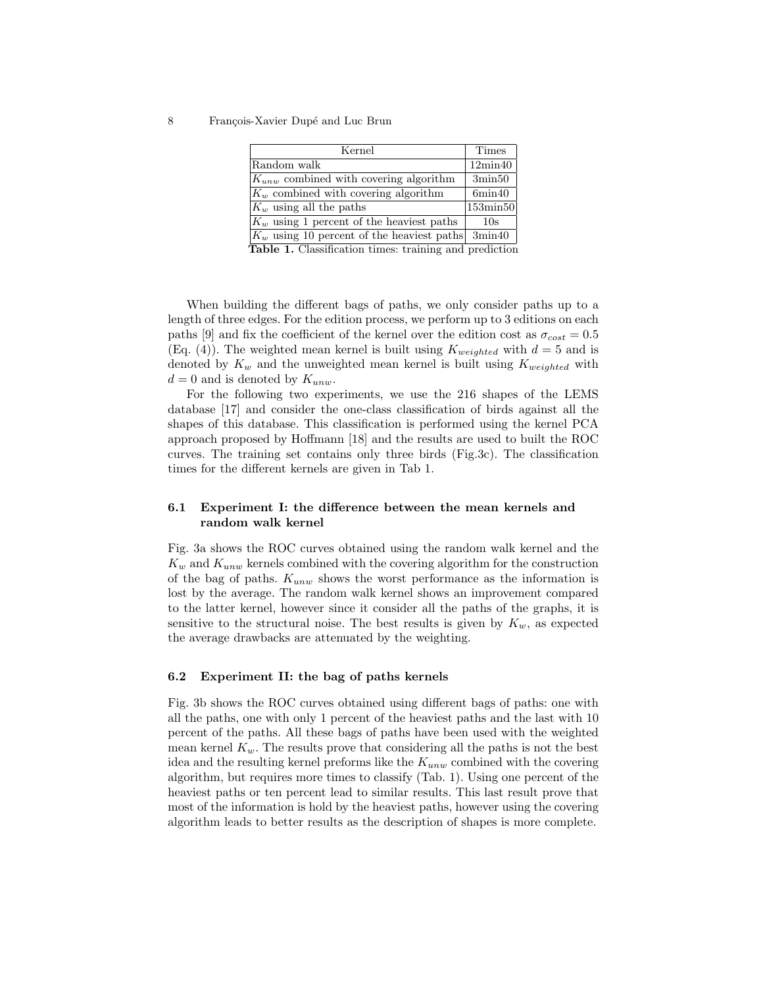8 François-Xavier Dupé and Luc Brun

| <b>Times</b>                                             |
|----------------------------------------------------------|
| $12\text{min}40$                                         |
| $3\text{min}50$                                          |
| 6min40                                                   |
| 153min50                                                 |
| 10s                                                      |
| $ K_w $ using 10 percent of the heaviest paths<br>3min40 |
|                                                          |

Table 1. Classification times: training and prediction

When building the different bags of paths, we only consider paths up to a length of three edges. For the edition process, we perform up to 3 editions on each paths [9] and fix the coefficient of the kernel over the edition cost as  $\sigma_{cost} = 0.5$ (Eq. (4)). The weighted mean kernel is built using  $K_{weighted}$  with  $d = 5$  and is denoted by  $K_w$  and the unweighted mean kernel is built using  $K_{weighted}$  with  $d = 0$  and is denoted by  $K_{unw}$ .

For the following two experiments, we use the 216 shapes of the LEMS database [17] and consider the one-class classification of birds against all the shapes of this database. This classification is performed using the kernel PCA approach proposed by Hoffmann [18] and the results are used to built the ROC curves. The training set contains only three birds (Fig.3c). The classification times for the different kernels are given in Tab 1.

# 6.1 Experiment I: the difference between the mean kernels and random walk kernel

Fig. 3a shows the ROC curves obtained using the random walk kernel and the  $K_w$  and  $K_{unw}$  kernels combined with the covering algorithm for the construction of the bag of paths.  $K_{unw}$  shows the worst performance as the information is lost by the average. The random walk kernel shows an improvement compared to the latter kernel, however since it consider all the paths of the graphs, it is sensitive to the structural noise. The best results is given by  $K_w$ , as expected the average drawbacks are attenuated by the weighting.

### 6.2 Experiment II: the bag of paths kernels

Fig. 3b shows the ROC curves obtained using different bags of paths: one with all the paths, one with only 1 percent of the heaviest paths and the last with 10 percent of the paths. All these bags of paths have been used with the weighted mean kernel  $K_w$ . The results prove that considering all the paths is not the best idea and the resulting kernel preforms like the  $K_{unw}$  combined with the covering algorithm, but requires more times to classify (Tab. 1). Using one percent of the heaviest paths or ten percent lead to similar results. This last result prove that most of the information is hold by the heaviest paths, however using the covering algorithm leads to better results as the description of shapes is more complete.